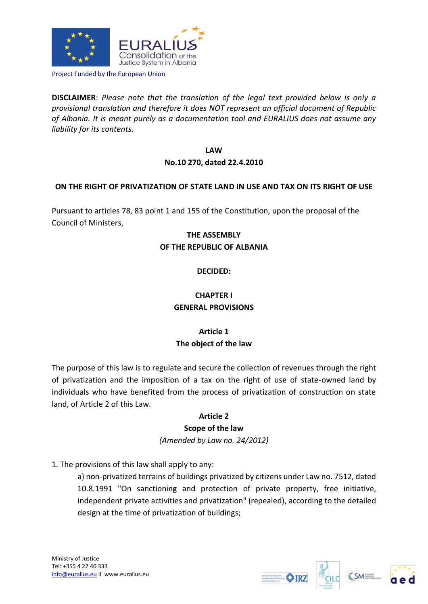

Project Funded by the European Union

**DISCLAIMER**: *Please note that the translation of the legal text provided below is only a provisional translation and therefore it does NOT represent an official document of Republic of Albania. It is meant purely as a documentation tool and EURALIUS does not assume any liability for its contents.*

## **LAW No.10 270, dated 22.4.2010**

#### **ON THE RIGHT OF PRIVATIZATION OF STATE LAND IN USE AND TAX ON ITS RIGHT OF USE**

Pursuant to articles 78, 83 point 1 and 155 of the Constitution, upon the proposal of the Council of Ministers,

# **THE ASSEMBLY OF THE REPUBLIC OF ALBANIA**

#### **DECIDED:**

## **CHAPTER I GENERAL PROVISIONS**

## **Article 1 The object of the law**

The purpose of this law is to regulate and secure the collection of revenues through the right of privatization and the imposition of a tax on the right of use of state-owned land by individuals who have benefited from the process of privatization of construction on state land, of Article 2 of this Law.

#### **Article 2**

#### **Scope of the law**

*(Amended by Law no. 24/2012)*

1. The provisions of this law shall apply to any:

a) non-privatized terrains of buildings privatized by citizens under Law no. 7512, dated 10.8.1991 "On sanctioning and protection of private property, free initiative, independent private activities and privatization" (repealed), according to the detailed design at the time of privatization of buildings;





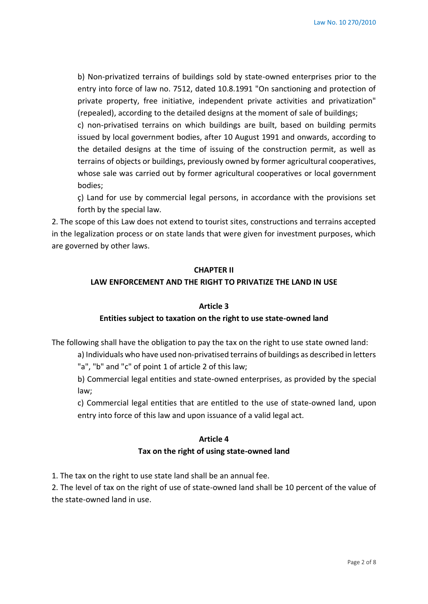b) Non-privatized terrains of buildings sold by state-owned enterprises prior to the entry into force of law no. 7512, dated 10.8.1991 "On sanctioning and protection of private property, free initiative, independent private activities and privatization" (repealed), according to the detailed designs at the moment of sale of buildings;

c) non-privatised terrains on which buildings are built, based on building permits issued by local government bodies, after 10 August 1991 and onwards, according to the detailed designs at the time of issuing of the construction permit, as well as terrains of objects or buildings, previously owned by former agricultural cooperatives, whose sale was carried out by former agricultural cooperatives or local government bodies;

ç) Land for use by commercial legal persons, in accordance with the provisions set forth by the special law.

2. The scope of this Law does not extend to tourist sites, constructions and terrains accepted in the legalization process or on state lands that were given for investment purposes, which are governed by other laws.

#### **CHAPTER II**

#### **LAW ENFORCEMENT AND THE RIGHT TO PRIVATIZE THE LAND IN USE**

#### **Article 3**

#### **Entities subject to taxation on the right to use state-owned land**

The following shall have the obligation to pay the tax on the right to use state owned land:

a) Individuals who have used non-privatised terrains of buildings as described in letters "a", "b" and "c" of point 1 of article 2 of this law;

b) Commercial legal entities and state-owned enterprises, as provided by the special law;

c) Commercial legal entities that are entitled to the use of state-owned land, upon entry into force of this law and upon issuance of a valid legal act.

## **Article 4 Tax on the right of using state-owned land**

1. The tax on the right to use state land shall be an annual fee.

2. The level of tax on the right of use of state-owned land shall be 10 percent of the value of the state-owned land in use.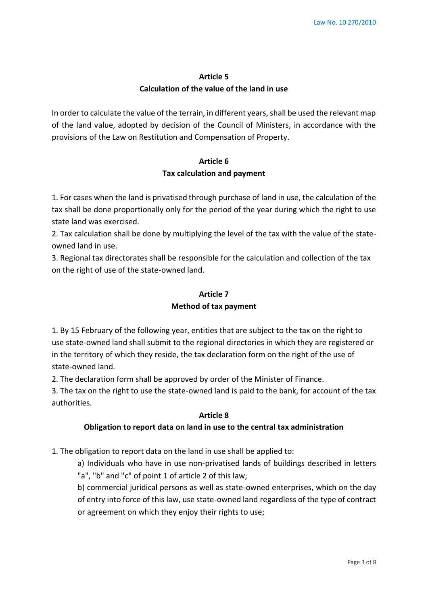## **Article 5 Calculation of the value of the land in use**

In order to calculate the value of the terrain, in different years, shall be used the relevant map of the land value, adopted by decision of the Council of Ministers, in accordance with the provisions of the Law on Restitution and Compensation of Property.

# **Article 6 Tax calculation and payment**

1. For cases when the land is privatised through purchase of land in use, the calculation of the tax shall be done proportionally only for the period of the year during which the right to use state land was exercised.

2. Tax calculation shall be done by multiplying the level of the tax with the value of the stateowned land in use.

3. Regional tax directorates shall be responsible for the calculation and collection of the tax on the right of use of the state-owned land.

### **Article 7**

#### **Method of tax payment**

1. By 15 February of the following year, entities that are subject to the tax on the right to use state-owned land shall submit to the regional directories in which they are registered or in the territory of which they reside, the tax declaration form on the right of the use of state-owned land.

2. The declaration form shall be approved by order of the Minister of Finance.

3. The tax on the right to use the state-owned land is paid to the bank, for account of the tax authorities.

### **Article 8**

### **Obligation to report data on land in use to the central tax administration**

1. The obligation to report data on the land in use shall be applied to:

a) Individuals who have in use non-privatised lands of buildings described in letters "a", "b" and "c" of point 1 of article 2 of this law;

b) commercial juridical persons as well as state-owned enterprises, which on the day of entry into force of this law, use state-owned land regardless of the type of contract or agreement on which they enjoy their rights to use;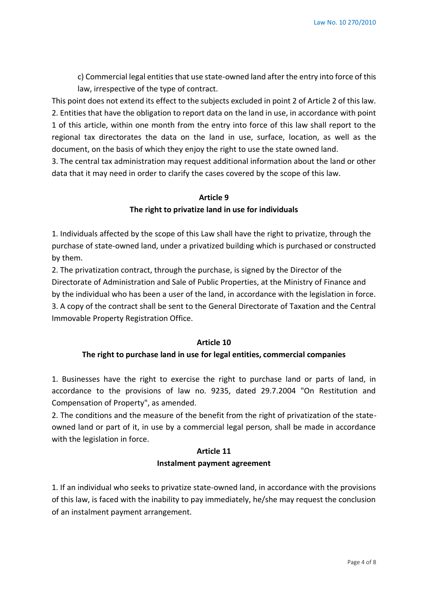c) Commercial legal entities that use state-owned land after the entry into force of this law, irrespective of the type of contract.

This point does not extend its effect to the subjects excluded in point 2 of Article 2 of this law. 2. Entities that have the obligation to report data on the land in use, in accordance with point 1 of this article, within one month from the entry into force of this law shall report to the regional tax directorates the data on the land in use, surface, location, as well as the document, on the basis of which they enjoy the right to use the state owned land.

3. The central tax administration may request additional information about the land or other data that it may need in order to clarify the cases covered by the scope of this law.

# **Article 9 The right to privatize land in use for individuals**

1. Individuals affected by the scope of this Law shall have the right to privatize, through the purchase of state-owned land, under a privatized building which is purchased or constructed by them.

2. The privatization contract, through the purchase, is signed by the Director of the Directorate of Administration and Sale of Public Properties, at the Ministry of Finance and by the individual who has been a user of the land, in accordance with the legislation in force. 3. A copy of the contract shall be sent to the General Directorate of Taxation and the Central Immovable Property Registration Office.

### **Article 10**

### **The right to purchase land in use for legal entities, commercial companies**

1. Businesses have the right to exercise the right to purchase land or parts of land, in accordance to the provisions of law no. 9235, dated 29.7.2004 "On Restitution and Compensation of Property", as amended.

2. The conditions and the measure of the benefit from the right of privatization of the stateowned land or part of it, in use by a commercial legal person, shall be made in accordance with the legislation in force.

## **Article 11 Instalment payment agreement**

1. If an individual who seeks to privatize state-owned land, in accordance with the provisions of this law, is faced with the inability to pay immediately, he/she may request the conclusion of an instalment payment arrangement.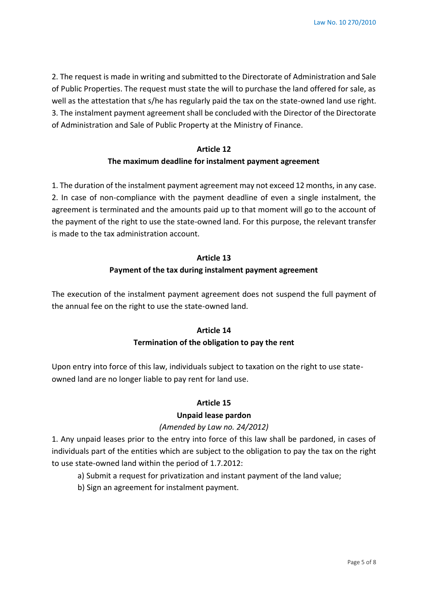2. The request is made in writing and submitted to the Directorate of Administration and Sale of Public Properties. The request must state the will to purchase the land offered for sale, as well as the attestation that s/he has regularly paid the tax on the state-owned land use right. 3. The instalment payment agreement shall be concluded with the Director of the Directorate of Administration and Sale of Public Property at the Ministry of Finance.

## **Article 12 The maximum deadline for instalment payment agreement**

1. The duration of the instalment payment agreement may not exceed 12 months, in any case. 2. In case of non-compliance with the payment deadline of even a single instalment, the agreement is terminated and the amounts paid up to that moment will go to the account of the payment of the right to use the state-owned land. For this purpose, the relevant transfer is made to the tax administration account.

# **Article 13 Payment of the tax during instalment payment agreement**

The execution of the instalment payment agreement does not suspend the full payment of the annual fee on the right to use the state-owned land.

## **Article 14 Termination of the obligation to pay the rent**

Upon entry into force of this law, individuals subject to taxation on the right to use stateowned land are no longer liable to pay rent for land use.

### **Article 15**

### **Unpaid lease pardon**

### *(Amended by Law no. 24/2012)*

1. Any unpaid leases prior to the entry into force of this law shall be pardoned, in cases of individuals part of the entities which are subject to the obligation to pay the tax on the right to use state-owned land within the period of 1.7.2012:

- a) Submit a request for privatization and instant payment of the land value;
- b) Sign an agreement for instalment payment.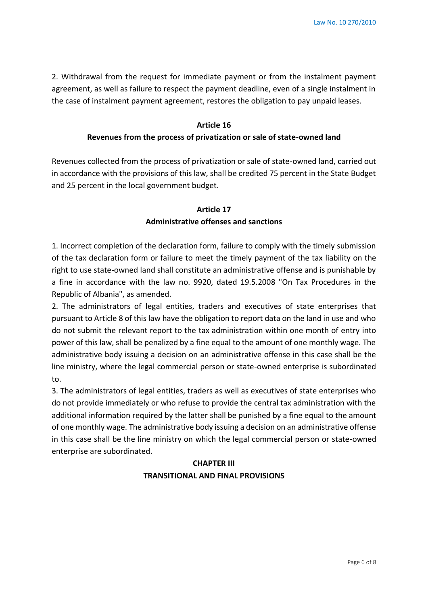2. Withdrawal from the request for immediate payment or from the instalment payment agreement, as well as failure to respect the payment deadline, even of a single instalment in the case of instalment payment agreement, restores the obligation to pay unpaid leases.

## **Article 16 Revenues from the process of privatization or sale of state-owned land**

Revenues collected from the process of privatization or sale of state-owned land, carried out in accordance with the provisions of this law, shall be credited 75 percent in the State Budget and 25 percent in the local government budget.

# **Article 17 Administrative offenses and sanctions**

1. Incorrect completion of the declaration form, failure to comply with the timely submission of the tax declaration form or failure to meet the timely payment of the tax liability on the right to use state-owned land shall constitute an administrative offense and is punishable by a fine in accordance with the law no. 9920, dated 19.5.2008 "On Tax Procedures in the Republic of Albania", as amended.

2. The administrators of legal entities, traders and executives of state enterprises that pursuant to Article 8 of this law have the obligation to report data on the land in use and who do not submit the relevant report to the tax administration within one month of entry into power of this law, shall be penalized by a fine equal to the amount of one monthly wage. The administrative body issuing a decision on an administrative offense in this case shall be the line ministry, where the legal commercial person or state-owned enterprise is subordinated to.

3. The administrators of legal entities, traders as well as executives of state enterprises who do not provide immediately or who refuse to provide the central tax administration with the additional information required by the latter shall be punished by a fine equal to the amount of one monthly wage. The administrative body issuing a decision on an administrative offense in this case shall be the line ministry on which the legal commercial person or state-owned enterprise are subordinated.

# **CHAPTER III TRANSITIONAL AND FINAL PROVISIONS**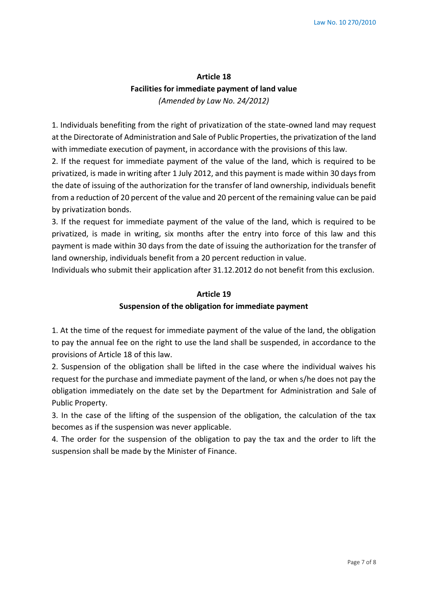# **Article 18 Facilities for immediate payment of land value**  *(Amended by Law No. 24/2012)*

1. Individuals benefiting from the right of privatization of the state-owned land may request at the Directorate of Administration and Sale of Public Properties, the privatization of the land with immediate execution of payment, in accordance with the provisions of this law.

2. If the request for immediate payment of the value of the land, which is required to be privatized, is made in writing after 1 July 2012, and this payment is made within 30 days from the date of issuing of the authorization for the transfer of land ownership, individuals benefit from a reduction of 20 percent of the value and 20 percent of the remaining value can be paid by privatization bonds.

3. If the request for immediate payment of the value of the land, which is required to be privatized, is made in writing, six months after the entry into force of this law and this payment is made within 30 days from the date of issuing the authorization for the transfer of land ownership, individuals benefit from a 20 percent reduction in value.

Individuals who submit their application after 31.12.2012 do not benefit from this exclusion.

#### **Article 19**

#### **Suspension of the obligation for immediate payment**

1. At the time of the request for immediate payment of the value of the land, the obligation to pay the annual fee on the right to use the land shall be suspended, in accordance to the provisions of Article 18 of this law.

2. Suspension of the obligation shall be lifted in the case where the individual waives his request for the purchase and immediate payment of the land, or when s/he does not pay the obligation immediately on the date set by the Department for Administration and Sale of Public Property.

3. In the case of the lifting of the suspension of the obligation, the calculation of the tax becomes as if the suspension was never applicable.

4. The order for the suspension of the obligation to pay the tax and the order to lift the suspension shall be made by the Minister of Finance.